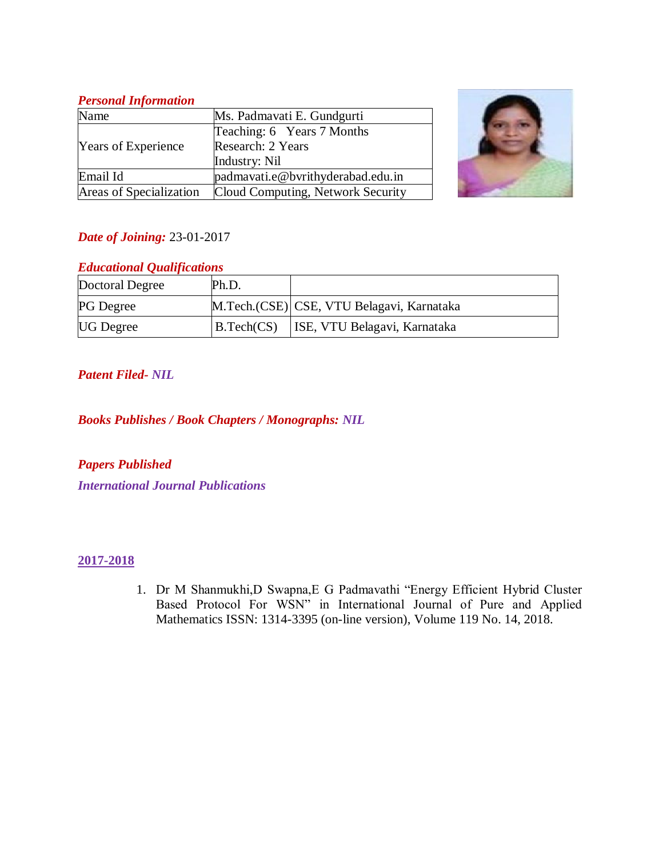# *Personal Information*

| Name                       | Ms. Padmavati E. Gundgurti        |  |
|----------------------------|-----------------------------------|--|
| <b>Years of Experience</b> | Teaching: 6 Years 7 Months        |  |
|                            | Research: 2 Years                 |  |
|                            | Industry: Nil                     |  |
| Email Id                   | padmavati.e@bvrithyderabad.edu.in |  |
| Areas of Specialization    | Cloud Computing, Network Security |  |



# *Date of Joining:* 23-01-2017

# *Educational Qualifications*

| Doctoral Degree  | Ph.D.      |                                           |
|------------------|------------|-------------------------------------------|
| <b>PG</b> Degree |            | M.Tech.(CSE) CSE, VTU Belagavi, Karnataka |
| <b>UG</b> Degree | B.Tech(CS) | ISE, VTU Belagavi, Karnataka              |

# *Patent Filed- NIL*

*Books Publishes / Book Chapters / Monographs: NIL*

*Papers Published International Journal Publications*

# **2017-2018**

1. Dr M Shanmukhi,D Swapna,E G Padmavathi "Energy Efficient Hybrid Cluster Based Protocol For WSN" in International Journal of Pure and Applied Mathematics ISSN: 1314-3395 (on-line version), Volume 119 No. 14, 2018.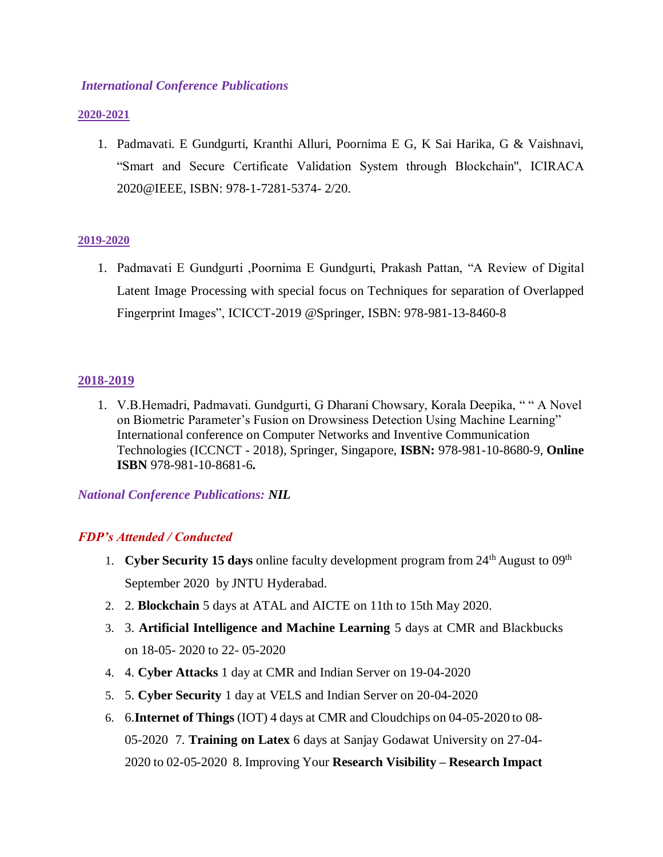### *International Conference Publications*

#### **2020-2021**

1. Padmavati. E Gundgurti, Kranthi Alluri, Poornima E G, K Sai Harika, G & Vaishnavi, "Smart and Secure Certificate Validation System through Blockchain'', ICIRACA 2020@IEEE, ISBN: 978-1-7281-5374- 2/20.

#### **2019-2020**

1. Padmavati E Gundgurti ,Poornima E Gundgurti, Prakash Pattan, "A Review of Digital Latent Image Processing with special focus on Techniques for separation of Overlapped Fingerprint Images", ICICCT-2019 @Springer, ISBN: 978-981-13-8460-8

### **2018-2019**

1. V.B.Hemadri, Padmavati. Gundgurti, G Dharani Chowsary, Korala Deepika, " " A Novel on Biometric Parameter's Fusion on Drowsiness Detection Using Machine Learning" International conference on Computer Networks and Inventive Communication Technologies (ICCNCT - 2018), Springer, Singapore, **ISBN:** 978-981-10-8680-9, **Online ISBN** 978-981-10-8681-6**.**

*National Conference Publications: NIL*

# *FDP's Attended / Conducted*

- 1. **Cyber Security 15 days** online faculty development program from 24<sup>th</sup> August to 09<sup>th</sup> September 2020 by JNTU Hyderabad.
- 2. 2. **Blockchain** 5 days at ATAL and AICTE on 11th to 15th May 2020.
- 3. 3. **Artificial Intelligence and Machine Learning** 5 days at CMR and Blackbucks on 18-05- 2020 to 22- 05-2020
- 4. 4. **Cyber Attacks** 1 day at CMR and Indian Server on 19-04-2020
- 5. 5. **Cyber Security** 1 day at VELS and Indian Server on 20-04-2020
- 6. 6.**Internet of Things** (IOT) 4 days at CMR and Cloudchips on 04-05-2020 to 08- 05-2020 7. **Training on Latex** 6 days at Sanjay Godawat University on 27-04- 2020 to 02-05-2020 8. Improving Your **Research Visibility – Research Impact**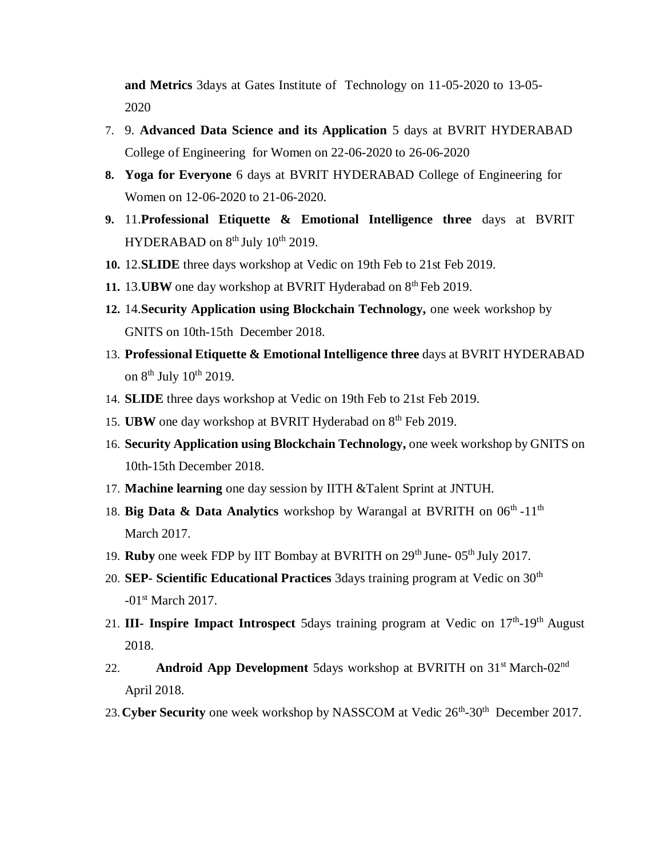**and Metrics** 3days at Gates Institute of Technology on 11-05-2020 to 13-05- 2020

- 7. 9. **Advanced Data Science and its Application** 5 days at BVRIT HYDERABAD College of Engineering for Women on 22-06-2020 to 26-06-2020
- **8. Yoga for Everyone** 6 days at BVRIT HYDERABAD College of Engineering for Women on 12-06-2020 to 21-06-2020.
- **9.** 11.**Professional Etiquette & Emotional Intelligence three** days at BVRIT HYDERABAD on  $8<sup>th</sup>$  July  $10<sup>th</sup>$  2019.
- **10.** 12.**SLIDE** three days workshop at Vedic on 19th Feb to 21st Feb 2019.
- 11. 13.**UBW** one day workshop at BVRIT Hyderabad on 8<sup>th</sup> Feb 2019.
- **12.** 14.**Security Application using Blockchain Technology,** one week workshop by GNITS on 10th-15th December 2018.
- 13. **Professional Etiquette & Emotional Intelligence three** days at BVRIT HYDERABAD on  $8^{th}$  July  $10^{th}$  2019.
- 14. **SLIDE** three days workshop at Vedic on 19th Feb to 21st Feb 2019.
- 15. **UBW** one day workshop at BVRIT Hyderabad on 8<sup>th</sup> Feb 2019.
- 16. **Security Application using Blockchain Technology,** one week workshop by GNITS on 10th-15th December 2018.
- 17. **Machine learning** one day session by IITH &Talent Sprint at JNTUH.
- 18. Big Data & Data Analytics workshop by Warangal at BVRITH on 06<sup>th</sup> -11<sup>th</sup> March 2017.
- 19. **Ruby** one week FDP by IIT Bombay at BVRITH on 29<sup>th</sup> June- 05<sup>th</sup> July 2017.
- 20. **SEP-** Scientific Educational Practices 3days training program at Vedic on 30<sup>th</sup> -01<sup>st</sup> March 2017.
- 21. **III- Inspire Impact Introspect** 5days training program at Vedic on 17<sup>th</sup>-19<sup>th</sup> August 2018.
- 22. **Android App Development** 5days workshop at BVRITH on 31<sup>st</sup> March-02<sup>nd</sup> April 2018.
- 23. Cyber Security one week workshop by NASSCOM at Vedic 26<sup>th</sup>-30<sup>th</sup> December 2017.